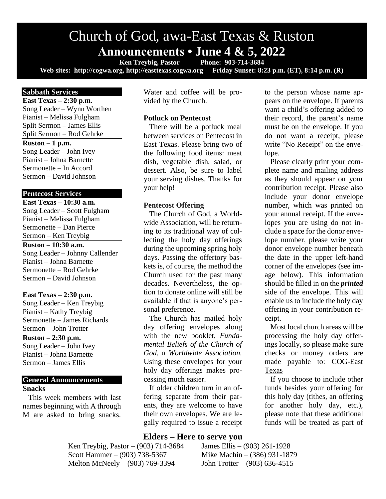# Church of God, awa-East Texas & Ruston **Announcements • June 4 & 5, 2022**<br> **Ken Treybig, Pastor** Phone: 903-714-3684

**Ken Treybig, Pastor Web sites: http://cogwa.org, http://easttexas.cogwa.org Friday Sunset: 8:23 p.m. (ET), 8:14 p.m. (R)**

#### **Sabbath Services**

**East Texas – 2:30 p.m.** Song Leader – Wynn Worthen Pianist – Melissa Fulgham Split Sermon – James Ellis Split Sermon – Rod Gehrke

#### **Ruston – 1 p.m.**

Song Leader – John Ivey Pianist – Johna Barnette Sermonette – In Accord Sermon – David Johnson

## **Pentecost Services**

**East Texas – 10:30 a.m.** Song Leader – Scott Fulgham Pianist – Melissa Fulgham Sermonette – Dan Pierce Sermon – Ken Treybig

#### **Ruston – 10:30 a.m.**

Song Leader – Johnny Callender Pianist – Johna Barnette Sermonette – Rod Gehrke Sermon – David Johnson

#### **East Texas – 2:30 p.m.**

Song Leader – Ken Treybig Pianist – Kathy Treybig Sermonette – James Richards Sermon – John Trotter

#### **Ruston – 2:30 p.m.**

Song Leader – John Ivey Pianist – Johna Barnette Sermon – James Ellis

## **General Announcements Snacks**

This week members with last names beginning with A through M are asked to bring snacks.

Water and coffee will be provided by the Church.

### **Potluck on Pentecost**

There will be a potluck meal between services on Pentecost in East Texas. Please bring two of the following food items: meat dish, vegetable dish, salad, or dessert. Also, be sure to label your serving dishes. Thanks for your help!

#### **Pentecost Offering**

The Church of God, a Worldwide Association, will be returning to its traditional way of collecting the holy day offerings during the upcoming spring holy days. Passing the offertory baskets is, of course, the method the Church used for the past many decades. Nevertheless, the option to donate online will still be available if that is anyone's personal preference.

The Church has mailed holy day offering envelopes along with the new booklet, *Fundamental Beliefs of the Church of God, a Worldwide Association.*  Using these envelopes for your holy day offerings makes processing much easier.

If older children turn in an offering separate from their parents, they are welcome to have their own envelopes. We are legally required to issue a receipt

### **Elders – Here to serve you**

Scott Hammer – (903) 738-5367 Mike Machin – (386) 931-1879 Melton McNeely – (903) 769-3394 John Trotter – (903) 636-4515

Ken Treybig, Pastor – (903) 714-3684 James Ellis – (903) 261-1928

to the person whose name appears on the envelope. If parents want a child's offering added to their record, the parent's name must be on the envelope. If you do not want a receipt, please write "No Receipt" on the envelope.

Please clearly print your complete name and mailing address as they should appear on your contribution receipt. Please also include your donor envelope number, which was printed on your annual receipt. If the envelopes you are using do not include a space for the donor envelope number, please write your donor envelope number beneath the date in the upper left-hand corner of the envelopes (see image below). This information should be filled in on the *printed*  side of the envelope. This will enable us to include the holy day offering in your contribution receipt.

Most local church areas will be processing the holy day offerings locally, so please make sure checks or money orders are made payable to: COG-East Texas

If you choose to include other funds besides your offering for this holy day (tithes, an offering for another holy day, etc.), please note that these additional funds will be treated as part of